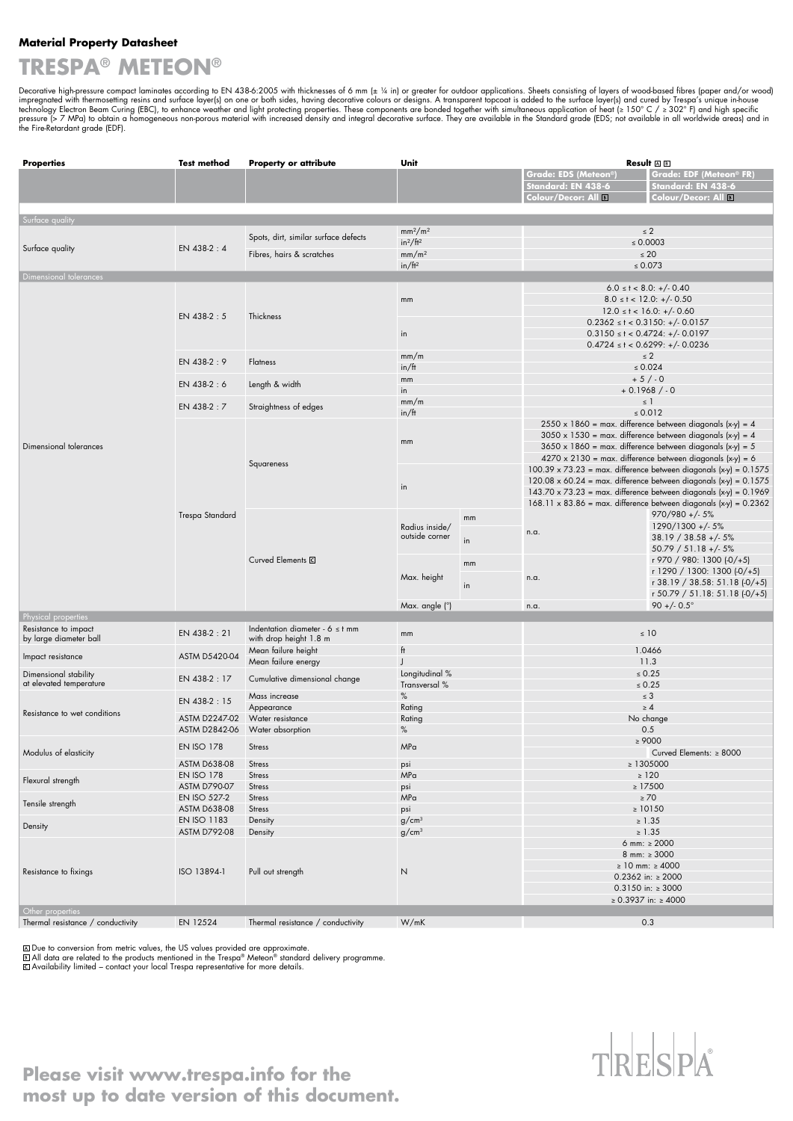#### **Material Property Datasheet**

## **TRESPA® METEON®**

Decorative high-pressure compact laminates according to EN 438-6:2005 with thicknesses of 6 mm (± ¼ in) or greater for outdoor applications. Sheets consisting of layers of wood-based fibres (paper and/or wood) impregnated

| <b>Properties</b>                                | <b>Test method</b>                 | <b>Property or attribute</b>         | Unit                            |    | Result AB                                                                                                                                                                                                |                                                                            |  |
|--------------------------------------------------|------------------------------------|--------------------------------------|---------------------------------|----|----------------------------------------------------------------------------------------------------------------------------------------------------------------------------------------------------------|----------------------------------------------------------------------------|--|
|                                                  |                                    |                                      |                                 |    | Grade: EDS (Meteon <sup>®</sup> )                                                                                                                                                                        | Grade: EDF (Meteon® FR)                                                    |  |
|                                                  |                                    |                                      |                                 |    | Standard: EN 438-6                                                                                                                                                                                       | Standard: EN 438-6                                                         |  |
|                                                  |                                    |                                      |                                 |    | Colour/Decor: All B                                                                                                                                                                                      | Colour/Decor: All <b>B</b>                                                 |  |
|                                                  |                                    |                                      |                                 |    |                                                                                                                                                                                                          |                                                                            |  |
| Surface quality                                  |                                    |                                      |                                 |    |                                                                                                                                                                                                          |                                                                            |  |
|                                                  |                                    |                                      | mm <sup>2</sup> /m <sup>2</sup> |    | $\leq 2$                                                                                                                                                                                                 |                                                                            |  |
|                                                  | EN 438-2:4                         | Spots, dirt, similar surface defects | $in^2/ft^2$                     |    | $\leq 0.0003$                                                                                                                                                                                            |                                                                            |  |
| Surface quality                                  |                                    |                                      |                                 |    | $\leq 20$                                                                                                                                                                                                |                                                                            |  |
|                                                  |                                    | Fibres, hairs & scratches            | mm/m <sup>2</sup>               |    | $\leq 0.073$                                                                                                                                                                                             |                                                                            |  |
|                                                  |                                    |                                      | in/ft <sup>2</sup>              |    |                                                                                                                                                                                                          |                                                                            |  |
| Dimensional tolerances                           |                                    |                                      |                                 |    |                                                                                                                                                                                                          |                                                                            |  |
|                                                  | EN 438-2:5                         | Thickness                            |                                 |    |                                                                                                                                                                                                          | $6.0 \le t < 8.0: +/-0.40$                                                 |  |
|                                                  |                                    |                                      | $\mathsf{mm}$                   |    |                                                                                                                                                                                                          | $8.0 \leq t < 12.0: +/- 0.50$                                              |  |
|                                                  |                                    |                                      |                                 |    |                                                                                                                                                                                                          | $12.0 \le t < 16.0: +/- 0.60$                                              |  |
|                                                  |                                    |                                      |                                 |    |                                                                                                                                                                                                          | $0.2362 \le t < 0.3150$ : +/- 0.0157                                       |  |
|                                                  |                                    |                                      | in                              |    | $0.3150 \le t < 0.4724$ : +/- 0.0197                                                                                                                                                                     |                                                                            |  |
|                                                  |                                    |                                      |                                 |    | $0.4724 \le t < 0.6299$ : +/- 0.0236                                                                                                                                                                     |                                                                            |  |
|                                                  | EN 438-2:9                         | <b>Flatness</b>                      | mm/m                            |    | $\leq 2$                                                                                                                                                                                                 |                                                                            |  |
|                                                  |                                    |                                      | in/ft                           |    | $\leq 0.024$                                                                                                                                                                                             |                                                                            |  |
|                                                  | EN 438-2:6                         | Length & width                       | mm                              |    | $+5/0$                                                                                                                                                                                                   |                                                                            |  |
|                                                  |                                    |                                      | in                              |    | $+0.1968/0$                                                                                                                                                                                              |                                                                            |  |
|                                                  | EN 438-2:7                         | Straightness of edges                | mm/m                            |    | $\leq$ 1                                                                                                                                                                                                 |                                                                            |  |
|                                                  |                                    |                                      | in/ft                           |    | $\leq 0.012$                                                                                                                                                                                             |                                                                            |  |
|                                                  |                                    |                                      |                                 |    | $2550 \times 1860$ = max. difference between diagonals (x-y) = 4<br>$3050 \times 1530$ = max. difference between diagonals (x-y) = 4<br>$3650 \times 1860$ = max. difference between diagonals (x-y) = 5 |                                                                            |  |
|                                                  |                                    | Squareness                           |                                 |    |                                                                                                                                                                                                          |                                                                            |  |
| Dimensional tolerances                           |                                    |                                      | $\mathsf{mm}$                   |    |                                                                                                                                                                                                          |                                                                            |  |
|                                                  |                                    |                                      |                                 |    | $4270 \times 2130$ = max. difference between diagonals (x-y) = 6                                                                                                                                         |                                                                            |  |
|                                                  |                                    |                                      |                                 |    |                                                                                                                                                                                                          | $100.39 \times 73.23$ = max. difference between diagonals $(x-y) = 0.1575$ |  |
|                                                  |                                    |                                      |                                 |    |                                                                                                                                                                                                          | $120.08 \times 60.24$ = max. difference between diagonals $(x-y) = 0.1575$ |  |
|                                                  |                                    |                                      | in                              |    |                                                                                                                                                                                                          | $143.70 \times 73.23$ = max. difference between diagonals $(x-y)$ = 0.1969 |  |
|                                                  | Trespa Standard                    |                                      |                                 |    | $168.11 \times 83.86$ = max. difference between diagonals $(x-y) = 0.2362$                                                                                                                               |                                                                            |  |
|                                                  |                                    |                                      |                                 | mm |                                                                                                                                                                                                          | $970/980 + (-5%)$                                                          |  |
|                                                  |                                    |                                      | Radius inside/                  |    | n.a.                                                                                                                                                                                                     | 1290/1300 +/- 5%                                                           |  |
|                                                  |                                    |                                      | outside corner<br>in            |    |                                                                                                                                                                                                          | $38.19 / 38.58 + (-5%)$                                                    |  |
|                                                  |                                    |                                      |                                 |    |                                                                                                                                                                                                          | $50.79 / 51.18 + (-5%)$                                                    |  |
|                                                  |                                    | Curved Elements <sup>C</sup>         |                                 |    |                                                                                                                                                                                                          | r 970 / 980: 1300 (-0/+5)                                                  |  |
|                                                  |                                    |                                      |                                 | mm | n.a.                                                                                                                                                                                                     | r 1290 / 1300: 1300 (-0/+5)                                                |  |
|                                                  |                                    |                                      | Max. height                     |    |                                                                                                                                                                                                          | r 38.19 / 38.58: 51.18 (-0/+5)                                             |  |
|                                                  |                                    |                                      | in                              |    |                                                                                                                                                                                                          | r 50.79 / 51.18: 51.18 $(-0/+5)$                                           |  |
|                                                  |                                    |                                      | Max. angle (°)                  |    | n.a.                                                                                                                                                                                                     | $90 + (-0.5^{\circ})$                                                      |  |
| Physical properties                              |                                    |                                      |                                 |    |                                                                                                                                                                                                          |                                                                            |  |
| Resistance to impact                             |                                    | Indentation diameter - $6 \leq t$ mm |                                 |    |                                                                                                                                                                                                          |                                                                            |  |
| by large diameter ball                           | EN 438-2:21                        | with drop height 1.8 m               | mm                              |    |                                                                                                                                                                                                          | $\leq 10$                                                                  |  |
|                                                  |                                    | Mean failure height                  | ft                              |    | 1.0466                                                                                                                                                                                                   |                                                                            |  |
| Impact resistance                                | <b>ASTM D5420-04</b>               | Mean failure energy                  |                                 |    | 11.3                                                                                                                                                                                                     |                                                                            |  |
|                                                  | EN 438-2:17                        | Longitudinal %                       |                                 |    | $\leq 0.25$                                                                                                                                                                                              |                                                                            |  |
| Dimensional stability<br>at elevated temperature |                                    | Cumulative dimensional change        | Transversal %                   |    | $\leq 0.25$                                                                                                                                                                                              |                                                                            |  |
|                                                  |                                    |                                      | $\%$<br>Mass increase           |    | $\leq 3$                                                                                                                                                                                                 |                                                                            |  |
| Resistance to wet conditions                     | EN 438-2:15                        | Appearance                           | Rating                          |    |                                                                                                                                                                                                          | $\geq 4$                                                                   |  |
|                                                  | ASTM D2247-02                      | Water resistance                     | Rating                          |    | No change                                                                                                                                                                                                |                                                                            |  |
|                                                  | ASTM D2842-06                      |                                      | $\%$                            |    | 0.5                                                                                                                                                                                                      |                                                                            |  |
|                                                  |                                    | Water absorption                     |                                 |    | $\geq 9000$                                                                                                                                                                                              |                                                                            |  |
| Modulus of elasticity                            | <b>EN ISO 178</b>                  | <b>Stress</b>                        | MPa                             |    | Curved Elements: ≥ 8000                                                                                                                                                                                  |                                                                            |  |
|                                                  |                                    |                                      |                                 |    |                                                                                                                                                                                                          |                                                                            |  |
|                                                  | <b>ASTM D638-08</b>                | <b>Stress</b>                        | psi                             |    | $\geq$ 1305000                                                                                                                                                                                           |                                                                            |  |
| Flexural strength<br>Tensile strength            | <b>EN ISO 178</b>                  | <b>Stress</b>                        | MPa                             |    | $\geq 120$                                                                                                                                                                                               |                                                                            |  |
|                                                  | <b>ASTM D790-07</b>                | <b>Stress</b>                        | psi                             |    | $\geq$ 17500                                                                                                                                                                                             |                                                                            |  |
|                                                  | EN ISO 527-2                       | <b>Stress</b>                        | MPa                             |    | $\geq 70$                                                                                                                                                                                                |                                                                            |  |
|                                                  | ASTM D638-08                       | <b>Stress</b>                        | psi                             |    | $\geq 10150$<br>$\geq 1.35$                                                                                                                                                                              |                                                                            |  |
| Density                                          | EN ISO 1183                        | Density                              | g/cm <sup>3</sup>               |    |                                                                                                                                                                                                          |                                                                            |  |
| Resistance to fixings                            | <b>ASTM D792-08</b><br>ISO 13894-1 | Density<br>Pull out strength         | g/cm <sup>3</sup><br>N          |    | $\geq 1.35$                                                                                                                                                                                              |                                                                            |  |
|                                                  |                                    |                                      |                                 |    | 6 mm: $\geq 2000$                                                                                                                                                                                        |                                                                            |  |
|                                                  |                                    |                                      |                                 |    | 8 mm: $\geq 3000$                                                                                                                                                                                        |                                                                            |  |
|                                                  |                                    |                                      |                                 |    | ≥ 10 mm: ≥ 4000                                                                                                                                                                                          |                                                                            |  |
|                                                  |                                    |                                      |                                 |    | $0.2362$ in: $\geq 2000$                                                                                                                                                                                 |                                                                            |  |
|                                                  |                                    |                                      |                                 |    | $0.3150$ in: $\geq 3000$                                                                                                                                                                                 |                                                                            |  |
|                                                  |                                    |                                      |                                 |    |                                                                                                                                                                                                          | ≥ 0.3937 in: ≥ 4000                                                        |  |
| Other properties                                 |                                    |                                      |                                 |    |                                                                                                                                                                                                          |                                                                            |  |
| Thermal resistance / conductivity                | EN 12524                           | Thermal resistance / conductivity    | W/mK                            |    |                                                                                                                                                                                                          | 0.3                                                                        |  |

l Due to conversion from metric values, the US values provided are approximate.<br>| All data are related to the products mentioned in the Trespa® Meteon® standard delivery programme.<br>| Availability limited – contact your loc



### **Please visit www.trespa.info for the most up to date version of this document.**